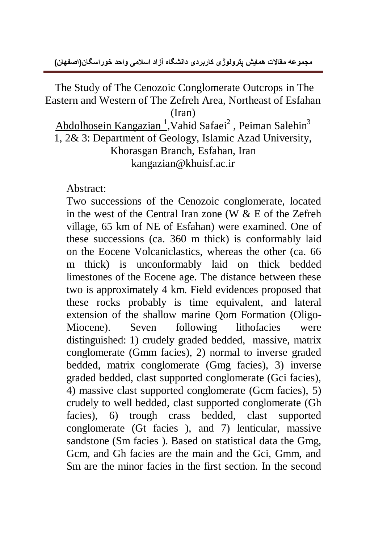The Study of The Cenozoic Conglomerate Outcrops in The Eastern and Western of The Zefreh Area, Northeast of Esfahan (Iran) Abdolhosein Kangazian<sup>1</sup>, Vahid Safaei<sup>2</sup>, Peiman Salehin<sup>3</sup> 1, 2& 3: Department of Geology, Islamic Azad University, Khorasgan Branch, Esfahan, Iran kangazian@khuisf.ac.ir

Abstract:

Two successions of the Cenozoic conglomerate, located in the west of the Central Iran zone (W & E of the Zefreh village, 65 km of NE of Esfahan) were examined. One of these successions (ca. 360 m thick) is conformably laid on the Eocene Volcaniclastics, whereas the other (ca. 66 m thick) is unconformably laid on thick bedded limestones of the Eocene age. The distance between these two is approximately 4 km. Field evidences proposed that these rocks probably is time equivalent, and lateral extension of the shallow marine Qom Formation (Oligo-Miocene). Seven following lithofacies were distinguished: 1) crudely graded bedded, massive, matrix conglomerate (Gmm facies), 2) normal to inverse graded bedded, matrix conglomerate (Gmg facies), 3) inverse graded bedded, clast supported conglomerate (Gci facies), 4) massive clast supported conglomerate (Gcm facies), 5) crudely to well bedded, clast supported conglomerate (Gh facies), 6) trough crass bedded, clast supported conglomerate (Gt facies ), and 7) lenticular, massive sandstone (Sm facies ). Based on statistical data the Gmg, Gcm, and Gh facies are the main and the Gci, Gmm, and Sm are the minor facies in the first section. In the second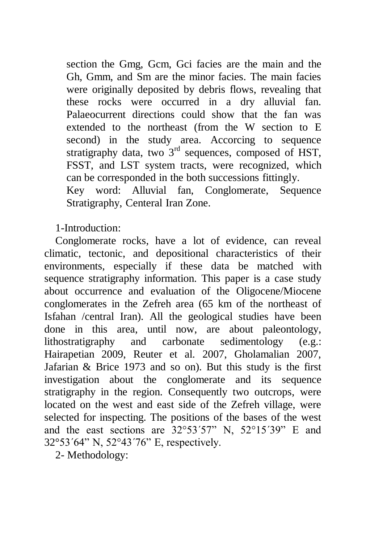section the Gmg, Gcm, Gci facies are the main and the Gh, Gmm, and Sm are the minor facies. The main facies were originally deposited by debris flows, revealing that these rocks were occurred in a dry alluvial fan. Palaeocurrent directions could show that the fan was extended to the northeast (from the W section to E second) in the study area. Accorcing to sequence stratigraphy data, two  $3<sup>rd</sup>$  sequences, composed of HST, FSST, and LST system tracts, were recognized, which can be corresponded in the both successions fittingly. Key word: Alluvial fan, Conglomerate, Sequence

1-Introduction:

Stratigraphy, Centeral Iran Zone.

Conglomerate rocks, have a lot of evidence, can reveal climatic, tectonic, and depositional characteristics of their environments, especially if these data be matched with sequence stratigraphy information. This paper is a case study about occurrence and evaluation of the Oligocene/Miocene conglomerates in the Zefreh area (65 km of the northeast of Isfahan /central Iran). All the geological studies have been done in this area, until now, are about paleontology, lithostratigraphy and carbonate sedimentology (e.g.: Hairapetian 2009, Reuter et al. 2007, Gholamalian 2007, Jafarian & Brice 1973 and so on). But this study is the first investigation about the conglomerate and its sequence stratigraphy in the region. Consequently two outcrops, were located on the west and east side of the Zefreh village, were selected for inspecting. The positions of the bases of the west and the east sections are 32°53´57" N, 52°15´39" E and 32°53´64" N, 52°43´76" E, respectively.

2- Methodology: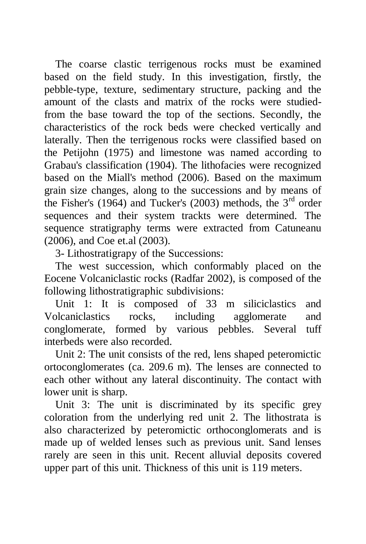The coarse clastic terrigenous rocks must be examined based on the field study. In this investigation, firstly, the pebble-type, texture, sedimentary structure, packing and the amount of the clasts and matrix of the rocks were studiedfrom the base toward the top of the sections. Secondly, the characteristics of the rock beds were checked vertically and laterally. Then the terrigenous rocks were classified based on the Petijohn (1975) and limestone was named according to Grabau's classification (1904). The lithofacies were recognized based on the Miall's method (2006). Based on the maximum grain size changes, along to the successions and by means of the Fisher's (1964) and Tucker's (2003) methods, the  $3<sup>rd</sup>$  order sequences and their system trackts were determined. The sequence stratigraphy terms were extracted from Catuneanu (2006), and Coe et.al (2003).

3- Lithostratigrapy of the Successions:

The west succession, which conformably placed on the Eocene Volcaniclastic rocks (Radfar 2002), is composed of the following lithostratigraphic subdivisions:

Unit 1: It is composed of 33 m siliciclastics and Volcaniclastics rocks, including agglomerate and conglomerate, formed by various pebbles. Several tuff interbeds were also recorded.

Unit 2: The unit consists of the red, lens shaped peteromictic ortoconglomerates (ca. 209.6 m). The lenses are connected to each other without any lateral discontinuity. The contact with lower unit is sharp.

Unit 3: The unit is discriminated by its specific grey coloration from the underlying red unit 2. The lithostrata is also characterized by peteromictic orthoconglomerats and is made up of welded lenses such as previous unit. Sand lenses rarely are seen in this unit. Recent alluvial deposits covered upper part of this unit. Thickness of this unit is 119 meters.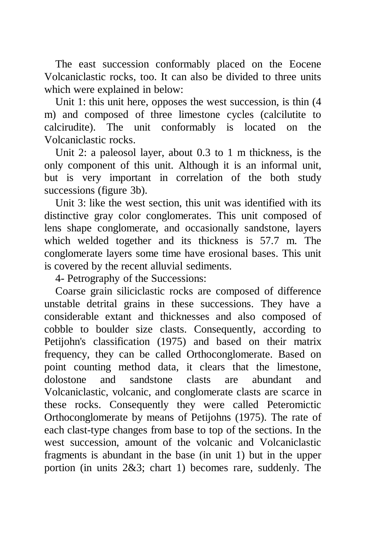The east succession conformably placed on the Eocene Volcaniclastic rocks, too. It can also be divided to three units which were explained in below:

Unit 1: this unit here, opposes the west succession, is thin (4 m) and composed of three limestone cycles (calcilutite to calcirudite). The unit conformably is located on the Volcaniclastic rocks.

Unit 2: a paleosol layer, about 0.3 to 1 m thickness, is the only component of this unit. Although it is an informal unit, but is very important in correlation of the both study successions (figure 3b).

Unit 3: like the west section, this unit was identified with its distinctive gray color conglomerates. This unit composed of lens shape conglomerate, and occasionally sandstone, layers which welded together and its thickness is 57.7 m. The conglomerate layers some time have erosional bases. This unit is covered by the recent alluvial sediments.

4- Petrography of the Successions:

Coarse grain siliciclastic rocks are composed of difference unstable detrital grains in these successions. They have a considerable extant and thicknesses and also composed of cobble to boulder size clasts. Consequently, according to Petijohn's classification (1975) and based on their matrix frequency, they can be called Orthoconglomerate. Based on point counting method data, it clears that the limestone, dolostone and sandstone clasts are abundant and Volcaniclastic, volcanic, and conglomerate clasts are scarce in these rocks. Consequently they were called Peteromictic Orthoconglomerate by means of Petijohns (1975). The rate of each clast-type changes from base to top of the sections. In the west succession, amount of the volcanic and Volcaniclastic fragments is abundant in the base (in unit 1) but in the upper portion (in units 2&3; chart 1) becomes rare, suddenly. The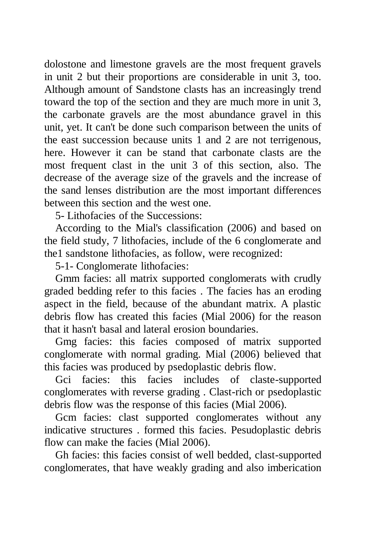dolostone and limestone gravels are the most frequent gravels in unit 2 but their proportions are considerable in unit 3, too. Although amount of Sandstone clasts has an increasingly trend toward the top of the section and they are much more in unit 3, the carbonate gravels are the most abundance gravel in this unit, yet. It can't be done such comparison between the units of the east succession because units 1 and 2 are not terrigenous, here. However it can be stand that carbonate clasts are the most frequent clast in the unit 3 of this section, also. The decrease of the average size of the gravels and the increase of the sand lenses distribution are the most important differences between this section and the west one.

5- Lithofacies of the Successions:

According to the Mial's classification (2006) and based on the field study, 7 lithofacies, include of the 6 conglomerate and the1 sandstone lithofacies, as follow, were recognized:

5-1- Conglomerate lithofacies:

Gmm facies: all matrix supported conglomerats with crudly graded bedding refer to this facies . The facies has an eroding aspect in the field, because of the abundant matrix. A plastic debris flow has created this facies (Mial 2006) for the reason that it hasn't basal and lateral erosion boundaries.

Gmg facies: this facies composed of matrix supported conglomerate with normal grading. Mial (2006) believed that this facies was produced by psedoplastic debris flow.

Gci facies: this facies includes of claste-supported conglomerates with reverse grading . Clast-rich or psedoplastic debris flow was the response of this facies (Mial 2006).

Gcm facies: clast supported conglomerates without any indicative structures . formed this facies. Pesudoplastic debris flow can make the facies (Mial 2006).

Gh facies: this facies consist of well bedded, clast-supported conglomerates, that have weakly grading and also imberication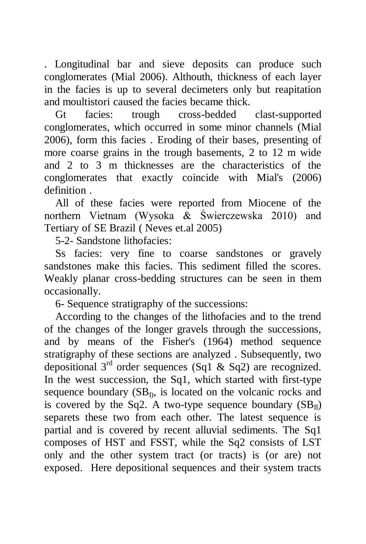. Longitudinal bar and sieve deposits can produce such conglomerates (Mial 2006). Althouth, thickness of each layer in the facies is up to several decimeters only but reapitation and moultistori caused the facies became thick.

Gt facies: trough cross-bedded clast-supported conglomerates, which occurred in some minor channels (Mial 2006), form this facies . Eroding of their bases, presenting of more coarse grains in the trough basements, 2 to 12 m wide and 2 to 3 m thicknesses are the characteristics of the conglomerates that exactly coincide with Mial's (2006) definition .

All of these facies were reported from Miocene of the northern Vietnam (Wysoka & Świerczewska 2010) and Tertiary of SE Brazil ( Neves et.al 2005)

5-2- Sandstone lithofacies:

Ss facies: very fine to coarse sandstones or gravely sandstones make this facies. This sediment filled the scores. Weakly planar cross-bedding structures can be seen in them occasionally.

6- Sequence stratigraphy of the successions:

According to the changes of the lithofacies and to the trend of the changes of the longer gravels through the successions, and by means of the Fisher's (1964) method sequence stratigraphy of these sections are analyzed . Subsequently, two depositional  $3<sup>rd</sup>$  order sequences (Sq1 & Sq2) are recognized. In the west succession, the Sq1, which started with first-type sequence boundary  $(SB<sub>D</sub>$ , is located on the volcanic rocks and is covered by the Sq2. A two-type sequence boundary  $(SB_{II})$ separets these two from each other. The latest sequence is partial and is covered by recent alluvial sediments. The Sq1 composes of HST and FSST, while the Sq2 consists of LST only and the other system tract (or tracts) is (or are) not exposed. Here depositional sequences and their system tracts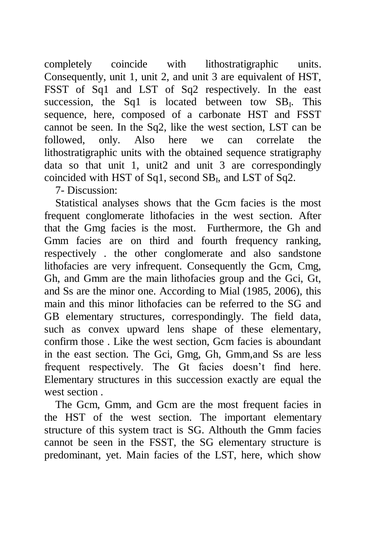completely coincide with lithostratigraphic units. Consequently, unit 1, unit 2, and unit 3 are equivalent of HST, FSST of Sq1 and LST of Sq2 respectively. In the east succession, the Sq1 is located between tow  $SB<sub>I</sub>$ . This sequence, here, composed of a carbonate HST and FSST cannot be seen. In the Sq2, like the west section, LST can be followed, only. Also here we can correlate the lithostratigraphic units with the obtained sequence stratigraphy data so that unit 1, unit2 and unit 3 are correspondingly coincided with HST of Sq1, second  $SB_I$ , and LST of Sq2.

7- Discussion:

Statistical analyses shows that the Gcm facies is the most frequent conglomerate lithofacies in the west section. After that the Gmg facies is the most. Furthermore, the Gh and Gmm facies are on third and fourth frequency ranking, respectively . the other conglomerate and also sandstone lithofacies are very infrequent. Consequently the Gcm, Cmg, Gh, and Gmm are the main lithofacies group and the Gci, Gt, and Ss are the minor one. According to Mial (1985, 2006), this main and this minor lithofacies can be referred to the SG and GB elementary structures, correspondingly. The field data, such as convex upward lens shape of these elementary, confirm those . Like the west section, Gcm facies is aboundant in the east section. The Gci, Gmg, Gh, Gmm,and Ss are less frequent respectively. The Gt facies doesn't find here. Elementary structures in this succession exactly are equal the west section .

The Gcm, Gmm, and Gcm are the most frequent facies in the HST of the west section. The important elementary structure of this system tract is SG. Althouth the Gmm facies cannot be seen in the FSST, the SG elementary structure is predominant, yet. Main facies of the LST, here, which show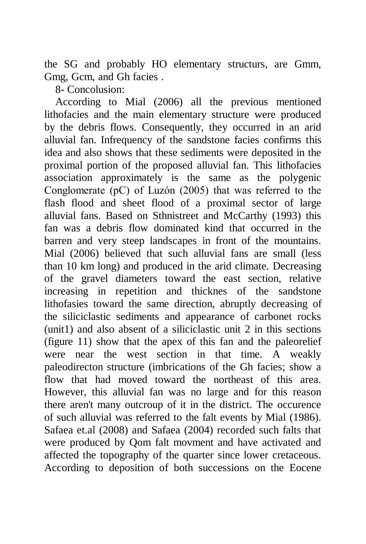the SG and probably HO elementary structurs, are Gmm, Gmg, Gcm, and Gh facies .

8- Concolusion:

According to Mial (2006) all the previous mentioned lithofacies and the main elementary structure were produced by the debris flows. Consequently, they occurred in an arid alluvial fan. Infrequency of the sandstone facies confirms this idea and also shows that these sediments were deposited in the proximal portion of the proposed alluvial fan. This lithofacies association approximately is the same as the polygenic Conglomerate (pC) of Luzόn (2005) that was referred to the flash flood and sheet flood of a proximal sector of large alluvial fans. Based on Sthnistreet and McCarthy (1993) this fan was a debris flow dominated kind that occurred in the barren and very steep landscapes in front of the mountains. Mial (2006) believed that such alluvial fans are small (less than 10 km long) and produced in the arid climate. Decreasing of the gravel diameters toward the east section, relative increasing in repetition and thicknes of the sandstone lithofasies toward the same direction, abruptly decreasing of the siliciclastic sediments and appearance of carbonet rocks (unit1) and also absent of a siliciclastic unit 2 in this sections (figure 11) show that the apex of this fan and the paleorelief were near the west section in that time. A weakly paleodirecton structure (imbrications of the Gh facies; show a flow that had moved toward the northeast of this area. However, this alluvial fan was no large and for this reason there aren't many outcroup of it in the district. The occurence of such alluvial was referred to the falt events by Mial (1986). Safaea et.al (2008) and Safaea (2004) recorded such falts that were produced by Qom falt movment and have activated and affected the topography of the quarter since lower cretaceous. According to deposition of both successions on the Eocene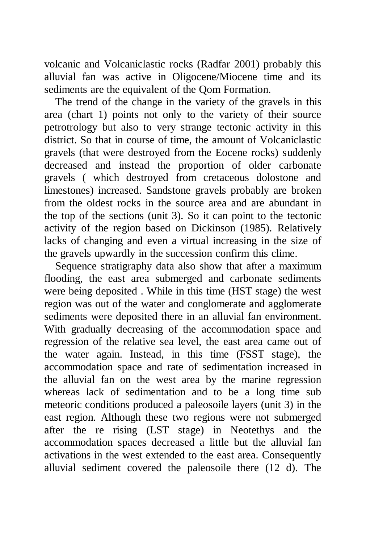volcanic and Volcaniclastic rocks (Radfar 2001) probably this alluvial fan was active in Oligocene/Miocene time and its sediments are the equivalent of the Qom Formation.

The trend of the change in the variety of the gravels in this area (chart 1) points not only to the variety of their source petrotrology but also to very strange tectonic activity in this district. So that in course of time, the amount of Volcaniclastic gravels (that were destroyed from the Eocene rocks) suddenly decreased and instead the proportion of older carbonate gravels ( which destroyed from cretaceous dolostone and limestones) increased. Sandstone gravels probably are broken from the oldest rocks in the source area and are abundant in the top of the sections (unit 3). So it can point to the tectonic activity of the region based on Dickinson (1985). Relatively lacks of changing and even a virtual increasing in the size of the gravels upwardly in the succession confirm this clime.

Sequence stratigraphy data also show that after a maximum flooding, the east area submerged and carbonate sediments were being deposited . While in this time (HST stage) the west region was out of the water and conglomerate and agglomerate sediments were deposited there in an alluvial fan environment. With gradually decreasing of the accommodation space and regression of the relative sea level, the east area came out of the water again. Instead, in this time (FSST stage), the accommodation space and rate of sedimentation increased in the alluvial fan on the west area by the marine regression whereas lack of sedimentation and to be a long time sub meteoric conditions produced a paleosoile layers (unit 3) in the east region. Although these two regions were not submerged after the re rising (LST stage) in Neotethys and the accommodation spaces decreased a little but the alluvial fan activations in the west extended to the east area. Consequently alluvial sediment covered the paleosoile there (12 d). The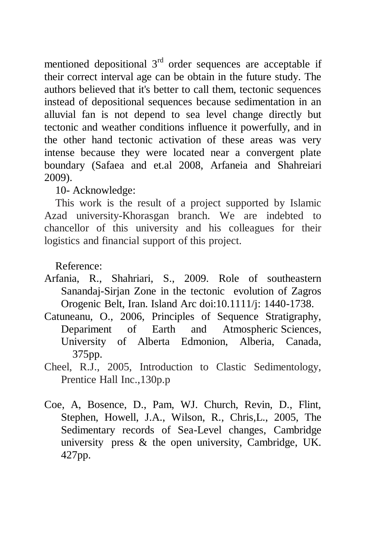mentioned depositional  $3<sup>rd</sup>$  order sequences are acceptable if their correct interval age can be obtain in the future study. The authors believed that it's better to call them, tectonic sequences instead of depositional sequences because sedimentation in an alluvial fan is not depend to sea level change directly but tectonic and weather conditions influence it powerfully, and in the other hand tectonic activation of these areas was very intense because they were located near a convergent plate boundary (Safaea and et.al 2008, Arfaneia and Shahreiari 2009).

10- Acknowledge:

This work is the result of a project supported by Islamic Azad university-Khorasgan branch. We are indebted to chancellor of this university and his colleagues for their logistics and financial support of this project.

Reference:

- Arfania, R., Shahriari, S., 2009. Role of southeastern Sanandaj-Sirjan Zone in the tectonic evolution of Zagros Orogenic Belt, Iran. Island Arc doi:10.1111/j: 1440-1738.
- Catuneanu, O., 2006, Principles of Sequence Stratigraphy, Depariment of Earth and Atmospheric Sciences, University of Alberta Edmonion, Alberia, Canada, 375pp.
- Cheel, R.J., 2005, Introduction to Clastic Sedimentology, Prentice Hall Inc.,130p.p
- Coe, A, Bosence, D., Pam, WJ. Church, Revin, D., Flint, Stephen, Howell, J.A., Wilson, R., Chris,L., 2005, The Sedimentary records of Sea-Level changes, Cambridge university press & the open university, Cambridge, UK. 427pp.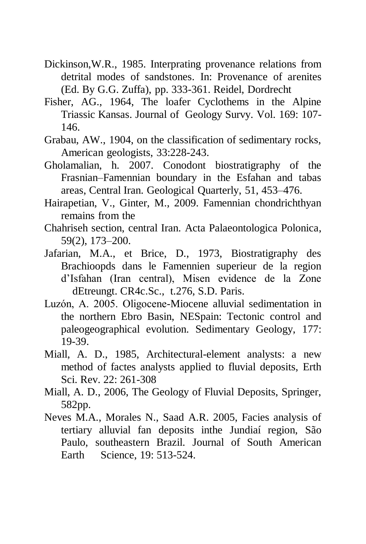- Dickinson,W.R., 1985. Interprating provenance relations from detrital modes of sandstones. In: Provenance of arenites (Ed. By G.G. Zuffa), pp. 333-361. Reidel, Dordrecht
- Fisher, AG., 1964, The loafer Cyclothems in the Alpine Triassic Kansas. Journal of Geology Survy. Vol. 169: 107- 146.
- Grabau, AW., 1904, on the classification of sedimentary rocks, American geologists, 33:228-243.
- Gholamalian, h. 2007. Conodont biostratigraphy of the Frasnian–Famennian boundary in the Esfahan and tabas areas, Central Iran. Geological Quarterly, 51, 453–476.
- Hairapetian, V., Ginter, M., 2009. Famennian chondrichthyan remains from the
- Chahriseh section, central Iran. Acta Palaeontologica Polonica, 59(2), 173–200.
- Jafarian, M.A., et Brice, D., 1973, Biostratigraphy des Brachioopds dans le Famennien superieur de la region d'Isfahan (Iran central), Misen evidence de la Zone dEtreungt. CR4c.Sc., t.276, S.D. Paris.
- Luzόn, A. 2005. Oligocene-Miocene alluvial sedimentation in the northern Ebro Basin, NESpain: Tectonic control and paleogeographical evolution. Sedimentary Geology, 177: 19-39.
- Miall, A. D., 1985, Architectural-element analysts: a new method of factes analysts applied to fluvial deposits, Erth Sci. Rev. 22: 261-308
- Miall, A. D., 2006, The Geology of Fluvial Deposits, Springer, 582pp.
- Neves M.A., Morales N., Saad A.R. 2005, Facies analysis of tertiary alluvial fan deposits inthe Jundiaí region, São Paulo, southeastern Brazil. Journal of South American Earth Science, 19: 513-524.